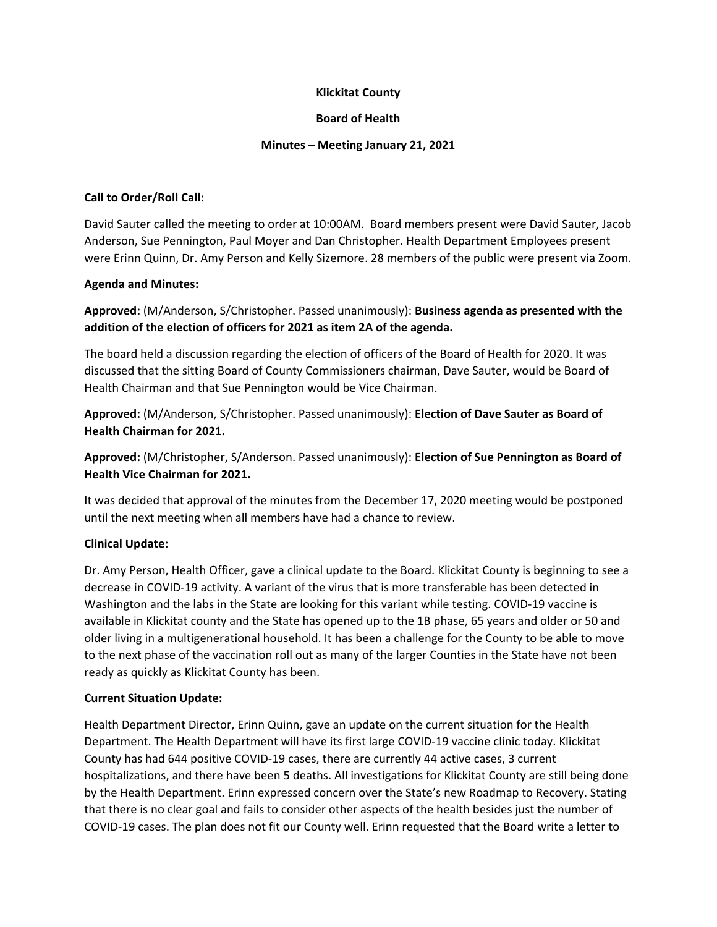## **Klickitat County**

## **Board of Health**

### **Minutes – Meeting January 21, 2021**

## **Call to Order/Roll Call:**

David Sauter called the meeting to order at 10:00AM. Board members present were David Sauter, Jacob Anderson, Sue Pennington, Paul Moyer and Dan Christopher. Health Department Employees present were Erinn Quinn, Dr. Amy Person and Kelly Sizemore. 28 members of the public were present via Zoom.

## **Agenda and Minutes:**

**Approved:** (M/Anderson, S/Christopher. Passed unanimously): **Business agenda as presented with the addition of the election of officers for 2021 as item 2A of the agenda.**

The board held a discussion regarding the election of officers of the Board of Health for 2020. It was discussed that the sitting Board of County Commissioners chairman, Dave Sauter, would be Board of Health Chairman and that Sue Pennington would be Vice Chairman.

**Approved:** (M/Anderson, S/Christopher. Passed unanimously): **Election of Dave Sauter as Board of Health Chairman for 2021.**

**Approved:** (M/Christopher, S/Anderson. Passed unanimously): **Election of Sue Pennington as Board of Health Vice Chairman for 2021.**

It was decided that approval of the minutes from the December 17, 2020 meeting would be postponed until the next meeting when all members have had a chance to review.

## **Clinical Update:**

Dr. Amy Person, Health Officer, gave a clinical update to the Board. Klickitat County is beginning to see a decrease in COVID‐19 activity. A variant of the virus that is more transferable has been detected in Washington and the labs in the State are looking for this variant while testing. COVID‐19 vaccine is available in Klickitat county and the State has opened up to the 1B phase, 65 years and older or 50 and older living in a multigenerational household. It has been a challenge for the County to be able to move to the next phase of the vaccination roll out as many of the larger Counties in the State have not been ready as quickly as Klickitat County has been.

### **Current Situation Update:**

Health Department Director, Erinn Quinn, gave an update on the current situation for the Health Department. The Health Department will have its first large COVID‐19 vaccine clinic today. Klickitat County has had 644 positive COVID‐19 cases, there are currently 44 active cases, 3 current hospitalizations, and there have been 5 deaths. All investigations for Klickitat County are still being done by the Health Department. Erinn expressed concern over the State's new Roadmap to Recovery. Stating that there is no clear goal and fails to consider other aspects of the health besides just the number of COVID‐19 cases. The plan does not fit our County well. Erinn requested that the Board write a letter to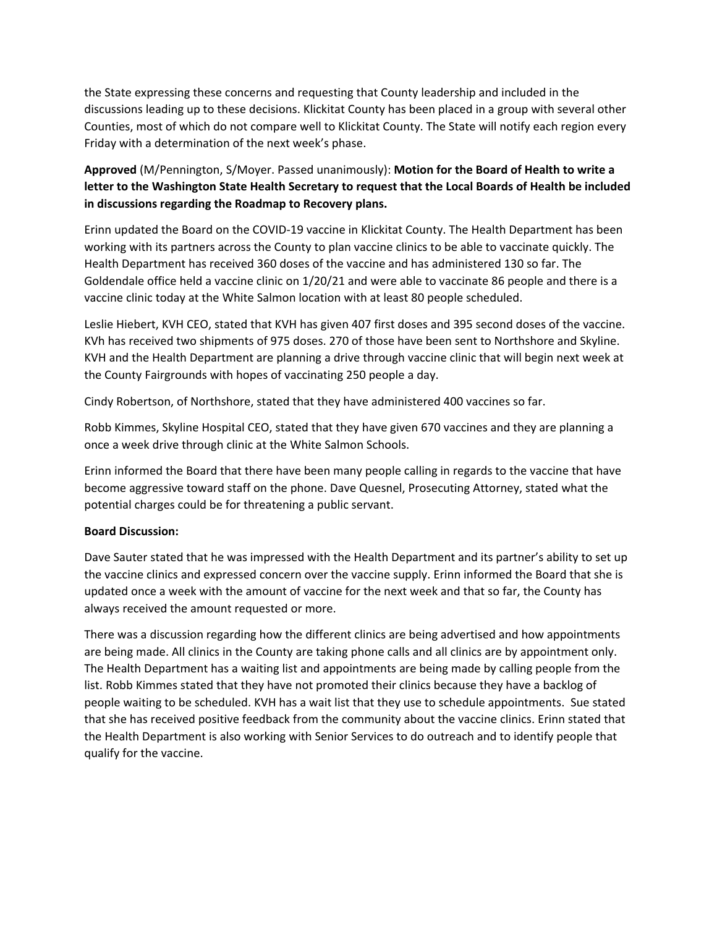the State expressing these concerns and requesting that County leadership and included in the discussions leading up to these decisions. Klickitat County has been placed in a group with several other Counties, most of which do not compare well to Klickitat County. The State will notify each region every Friday with a determination of the next week's phase.

# **Approved** (M/Pennington, S/Moyer. Passed unanimously): **Motion for the Board of Health to write a letter to the Washington State Health Secretary to request that the Local Boards of Health be included in discussions regarding the Roadmap to Recovery plans.**

Erinn updated the Board on the COVID‐19 vaccine in Klickitat County. The Health Department has been working with its partners across the County to plan vaccine clinics to be able to vaccinate quickly. The Health Department has received 360 doses of the vaccine and has administered 130 so far. The Goldendale office held a vaccine clinic on 1/20/21 and were able to vaccinate 86 people and there is a vaccine clinic today at the White Salmon location with at least 80 people scheduled.

Leslie Hiebert, KVH CEO, stated that KVH has given 407 first doses and 395 second doses of the vaccine. KVh has received two shipments of 975 doses. 270 of those have been sent to Northshore and Skyline. KVH and the Health Department are planning a drive through vaccine clinic that will begin next week at the County Fairgrounds with hopes of vaccinating 250 people a day.

Cindy Robertson, of Northshore, stated that they have administered 400 vaccines so far.

Robb Kimmes, Skyline Hospital CEO, stated that they have given 670 vaccines and they are planning a once a week drive through clinic at the White Salmon Schools.

Erinn informed the Board that there have been many people calling in regards to the vaccine that have become aggressive toward staff on the phone. Dave Quesnel, Prosecuting Attorney, stated what the potential charges could be for threatening a public servant.

## **Board Discussion:**

Dave Sauter stated that he was impressed with the Health Department and its partner's ability to set up the vaccine clinics and expressed concern over the vaccine supply. Erinn informed the Board that she is updated once a week with the amount of vaccine for the next week and that so far, the County has always received the amount requested or more.

There was a discussion regarding how the different clinics are being advertised and how appointments are being made. All clinics in the County are taking phone calls and all clinics are by appointment only. The Health Department has a waiting list and appointments are being made by calling people from the list. Robb Kimmes stated that they have not promoted their clinics because they have a backlog of people waiting to be scheduled. KVH has a wait list that they use to schedule appointments. Sue stated that she has received positive feedback from the community about the vaccine clinics. Erinn stated that the Health Department is also working with Senior Services to do outreach and to identify people that qualify for the vaccine.